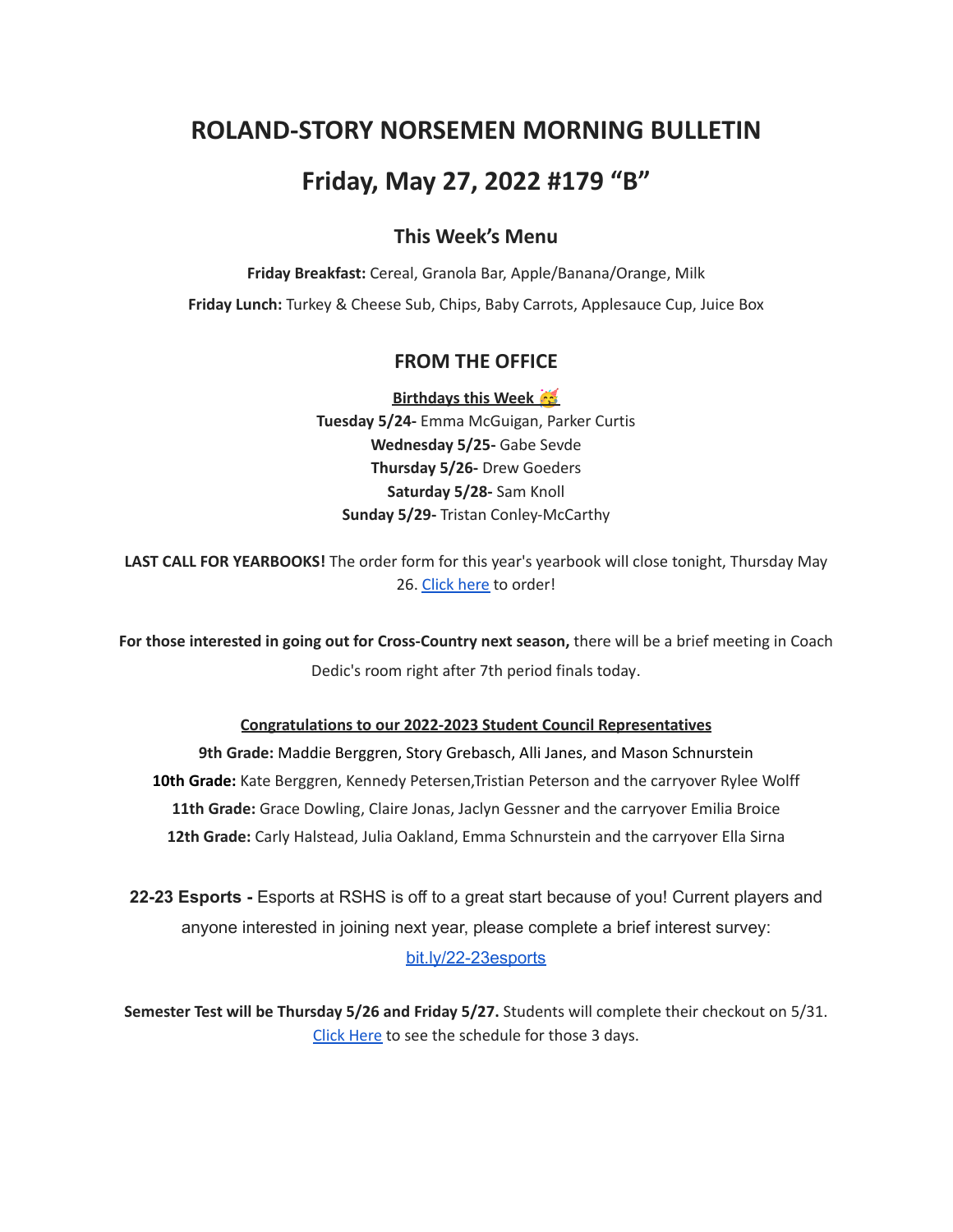# **ROLAND-STORY NORSEMEN MORNING BULLETIN**

# **Friday, May 27, 2022 #179 "B"**

## **This Week's Menu**

**Friday Breakfast:** Cereal, Granola Bar, Apple/Banana/Orange, Milk **Friday Lunch:** Turkey & Cheese Sub, Chips, Baby Carrots, Applesauce Cup, Juice Box

#### **FROM THE OFFICE**

**Birthdays this Week Tuesday 5/24-** Emma McGuigan, Parker Curtis **Wednesday 5/25-** Gabe Sevde **Thursday 5/26-** Drew Goeders **Saturday 5/28-** Sam Knoll **Sunday 5/29-** Tristan Conley-McCarthy

**LAST CALL FOR YEARBOOKS!** The order form for this year's yearbook will close tonight, Thursday May 26. [Click](https://www.jostens.com/apps/store/productBrowse/1071314/ROLAND-STORY-HIGH-SCHOOL/2022-Yearbook/2022021204155696382/CATALOG_SHOP) here to order!

**For those interested in going out for Cross-Country next season,** there will be a brief meeting in Coach Dedic's room right after 7th period finals today.

#### **Congratulations to our 2022-2023 Student Council Representatives**

**9th Grade:** Maddie Berggren, Story Grebasch, Alli Janes, and Mason Schnurstein **10th Grade:** Kate Berggren, Kennedy Petersen,Tristian Peterson and the carryover Rylee Wolff **11th Grade:** Grace Dowling, Claire Jonas, Jaclyn Gessner and the carryover Emilia Broice **12th Grade:** Carly Halstead, Julia Oakland, Emma Schnurstein and the carryover Ella Sirna

**22-23 Esports -** Esports at RSHS is off to a great start because of you! Current players and anyone interested in joining next year, please complete a brief interest survey: [bit.ly/22-23esports](http://bit.ly/22-23esports)

**Semester Test will be Thursday 5/26 and Friday 5/27.** Students will complete their checkout on 5/31. Click [Here](https://drive.google.com/file/d/1f_W_f9rcsywnweiwi6fCuPDOMZBp9ou-/view?usp=sharing) to see the schedule for those 3 days.